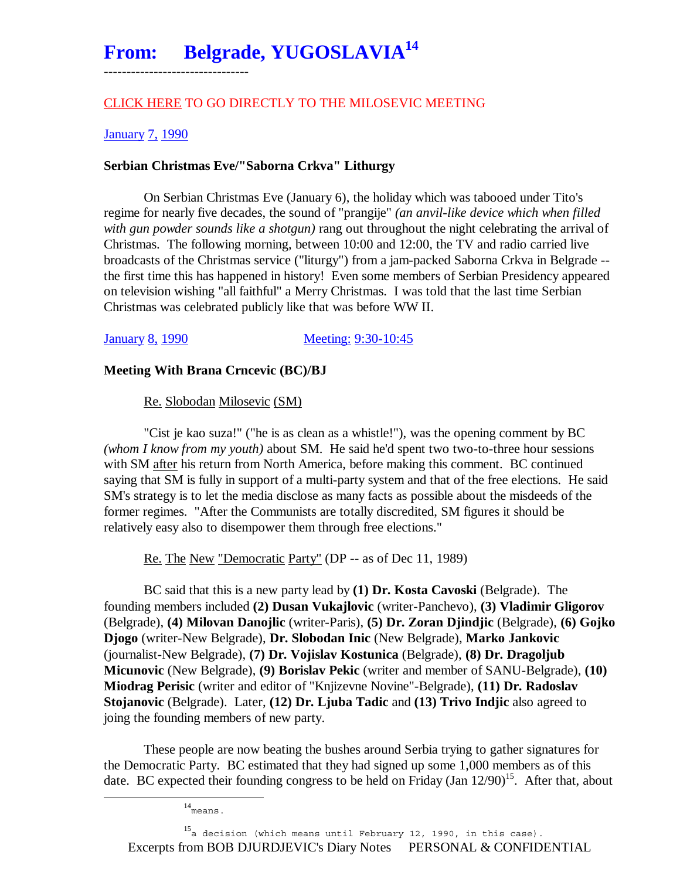# From: Belgrade, YUGOSLAVIA<sup>14</sup>

# CLICK HERE TO GO DIRECTLY TO THE MILOSEVIC MEETING

### January 7, 1990

--------------------------------

# **Serbian Christmas Eve/"Saborna Crkva" Lithurgy**

 On Serbian Christmas Eve (January 6), the holiday which was tabooed under Tito's regime for nearly five decades, the sound of "prangije" *(an anvil-like device which when filled with gun powder sounds like a shotgun)* rang out throughout the night celebrating the arrival of Christmas. The following morning, between 10:00 and 12:00, the TV and radio carried live broadcasts of the Christmas service ("liturgy") from a jam-packed Saborna Crkva in Belgrade - the first time this has happened in history! Even some members of Serbian Presidency appeared on television wishing "all faithful" a Merry Christmas. I was told that the last time Serbian Christmas was celebrated publicly like that was before WW II.

January 8, 1990 Meeting: 9:30-10:45

### **Meeting With Brana Crncevic (BC)/BJ**

Re. Slobodan Milosevic (SM)

 "Cist je kao suza!" ("he is as clean as a whistle!"), was the opening comment by BC *(whom I know from my youth)* about SM. He said he'd spent two two-to-three hour sessions with SM after his return from North America, before making this comment. BC continued saying that SM is fully in support of a multi-party system and that of the free elections. He said SM's strategy is to let the media disclose as many facts as possible about the misdeeds of the former regimes. "After the Communists are totally discredited, SM figures it should be relatively easy also to disempower them through free elections."

Re. The New "Democratic Party" (DP -- as of Dec 11, 1989)

 BC said that this is a new party lead by **(1) Dr. Kosta Cavoski** (Belgrade). The founding members included **(2) Dusan Vukajlovic** (writer-Panchevo), **(3) Vladimir Gligorov** (Belgrade), **(4) Milovan Danojlic** (writer-Paris), **(5) Dr. Zoran Djindjic** (Belgrade), **(6) Gojko Djogo** (writer-New Belgrade), **Dr. Slobodan Inic** (New Belgrade), **Marko Jankovic** (journalist-New Belgrade), **(7) Dr. Vojislav Kostunica** (Belgrade), **(8) Dr. Dragoljub Micunovic** (New Belgrade), **(9) Borislav Pekic** (writer and member of SANU-Belgrade), **(10) Miodrag Perisic** (writer and editor of "Knjizevne Novine"-Belgrade), **(11) Dr. Radoslav Stojanovic** (Belgrade). Later, **(12) Dr. Ljuba Tadic** and **(13) Trivo Indjic** also agreed to joing the founding members of new party.

 These people are now beating the bushes around Serbia trying to gather signatures for the Democratic Party. BC estimated that they had signed up some 1,000 members as of this date. BC expected their founding congress to be held on Friday (Jan  $12/90$ )<sup>15</sup>. After that, about

14means.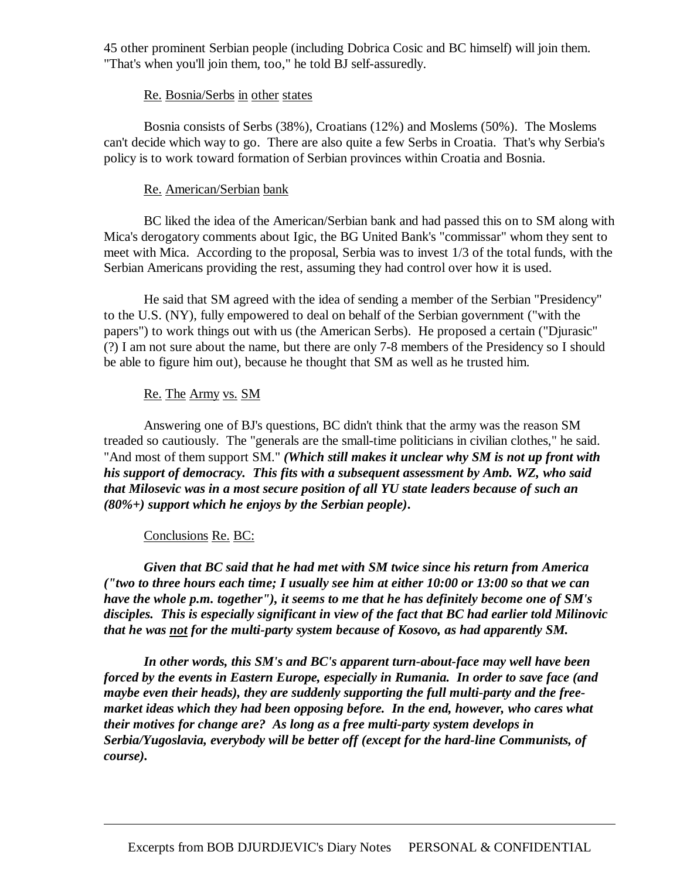45 other prominent Serbian people (including Dobrica Cosic and BC himself) will join them. "That's when you'll join them, too," he told BJ self-assuredly.

### Re. Bosnia/Serbs in other states

 Bosnia consists of Serbs (38%), Croatians (12%) and Moslems (50%). The Moslems can't decide which way to go. There are also quite a few Serbs in Croatia. That's why Serbia's policy is to work toward formation of Serbian provinces within Croatia and Bosnia.

# Re. American/Serbian bank

 BC liked the idea of the American/Serbian bank and had passed this on to SM along with Mica's derogatory comments about Igic, the BG United Bank's "commissar" whom they sent to meet with Mica. According to the proposal, Serbia was to invest 1/3 of the total funds, with the Serbian Americans providing the rest, assuming they had control over how it is used.

 He said that SM agreed with the idea of sending a member of the Serbian "Presidency" to the U.S. (NY), fully empowered to deal on behalf of the Serbian government ("with the papers") to work things out with us (the American Serbs). He proposed a certain ("Djurasic" (?) I am not sure about the name, but there are only 7-8 members of the Presidency so I should be able to figure him out), because he thought that SM as well as he trusted him.

# Re. The Army vs. SM

 Answering one of BJ's questions, BC didn't think that the army was the reason SM treaded so cautiously. The "generals are the small-time politicians in civilian clothes," he said. "And most of them support SM." *(Which still makes it unclear why SM is not up front with his support of democracy. This fits with a subsequent assessment by Amb. WZ, who said that Milosevic was in a most secure position of all YU state leaders because of such an (80%+) support which he enjoys by the Serbian people)***.**

#### Conclusions Re. BC:

-

*Given that BC said that he had met with SM twice since his return from America ("two to three hours each time; I usually see him at either 10:00 or 13:00 so that we can have the whole p.m. together"), it seems to me that he has definitely become one of SM's disciples. This is especially significant in view of the fact that BC had earlier told Milinovic that he was not for the multi-party system because of Kosovo, as had apparently SM.* 

 *In other words, this SM's and BC's apparent turn-about-face may well have been forced by the events in Eastern Europe, especially in Rumania. In order to save face (and maybe even their heads), they are suddenly supporting the full multi-party and the freemarket ideas which they had been opposing before. In the end, however, who cares what their motives for change are? As long as a free multi-party system develops in Serbia/Yugoslavia, everybody will be better off (except for the hard-line Communists, of course).*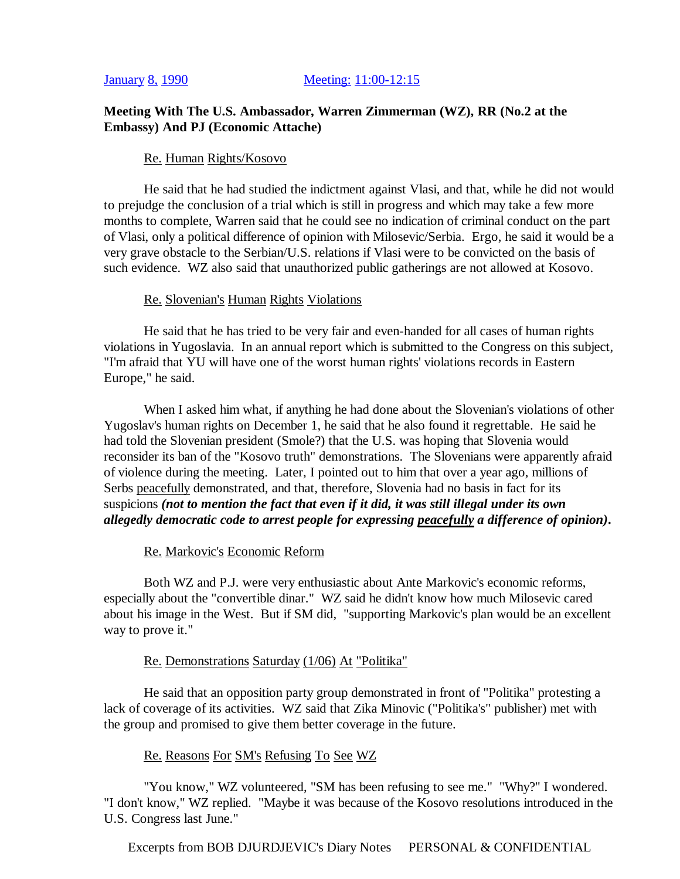#### January 8, 1990 Meeting: 11:00-12:15

# **Meeting With The U.S. Ambassador, Warren Zimmerman (WZ), RR (No.2 at the Embassy) And PJ (Economic Attache)**

#### Re. Human Rights/Kosovo

 He said that he had studied the indictment against Vlasi, and that, while he did not would to prejudge the conclusion of a trial which is still in progress and which may take a few more months to complete, Warren said that he could see no indication of criminal conduct on the part of Vlasi, only a political difference of opinion with Milosevic/Serbia. Ergo, he said it would be a very grave obstacle to the Serbian/U.S. relations if Vlasi were to be convicted on the basis of such evidence. WZ also said that unauthorized public gatherings are not allowed at Kosovo.

#### Re. Slovenian's Human Rights Violations

 He said that he has tried to be very fair and even-handed for all cases of human rights violations in Yugoslavia. In an annual report which is submitted to the Congress on this subject, "I'm afraid that YU will have one of the worst human rights' violations records in Eastern Europe," he said.

 When I asked him what, if anything he had done about the Slovenian's violations of other Yugoslav's human rights on December 1, he said that he also found it regrettable. He said he had told the Slovenian president (Smole?) that the U.S. was hoping that Slovenia would reconsider its ban of the "Kosovo truth" demonstrations. The Slovenians were apparently afraid of violence during the meeting. Later, I pointed out to him that over a year ago, millions of Serbs peacefully demonstrated, and that, therefore, Slovenia had no basis in fact for its suspicions *(not to mention the fact that even if it did, it was still illegal under its own allegedly democratic code to arrest people for expressing peacefully a difference of opinion)***.**

#### Re. Markovic's Economic Reform

 Both WZ and P.J. were very enthusiastic about Ante Markovic's economic reforms, especially about the "convertible dinar." WZ said he didn't know how much Milosevic cared about his image in the West. But if SM did, "supporting Markovic's plan would be an excellent way to prove it."

#### Re. Demonstrations Saturday (1/06) At "Politika"

 He said that an opposition party group demonstrated in front of "Politika" protesting a lack of coverage of its activities. WZ said that Zika Minovic ("Politika's" publisher) met with the group and promised to give them better coverage in the future.

#### Re. Reasons For SM's Refusing To See WZ

 "You know," WZ volunteered, "SM has been refusing to see me." "Why?" I wondered. "I don't know," WZ replied. "Maybe it was because of the Kosovo resolutions introduced in the U.S. Congress last June."

Excerpts from BOB DJURDJEVIC's Diary Notes PERSONAL & CONFIDENTIAL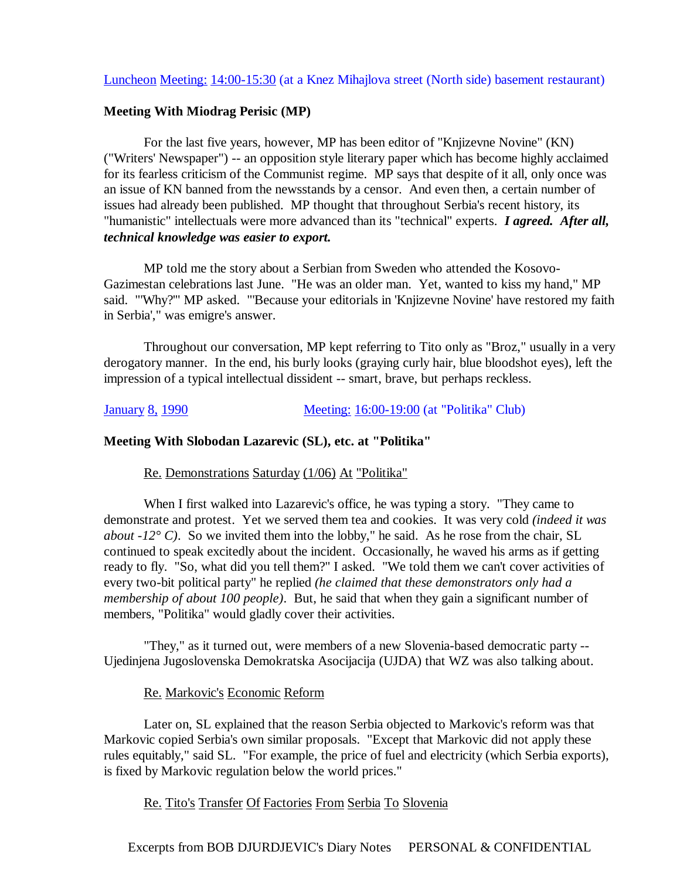# Luncheon Meeting: 14:00-15:30 (at a Knez Mihajlova street (North side) basement restaurant)

#### **Meeting With Miodrag Perisic (MP)**

 For the last five years, however, MP has been editor of "Knjizevne Novine" (KN) ("Writers' Newspaper") -- an opposition style literary paper which has become highly acclaimed for its fearless criticism of the Communist regime. MP says that despite of it all, only once was an issue of KN banned from the newsstands by a censor. And even then, a certain number of issues had already been published. MP thought that throughout Serbia's recent history, its "humanistic" intellectuals were more advanced than its "technical" experts. *I agreed. After all, technical knowledge was easier to export.*

 MP told me the story about a Serbian from Sweden who attended the Kosovo-Gazimestan celebrations last June. "He was an older man. Yet, wanted to kiss my hand," MP said. "'Why?'" MP asked. "'Because your editorials in 'Knjizevne Novine' have restored my faith in Serbia'," was emigre's answer.

 Throughout our conversation, MP kept referring to Tito only as "Broz," usually in a very derogatory manner. In the end, his burly looks (graying curly hair, blue bloodshot eyes), left the impression of a typical intellectual dissident -- smart, brave, but perhaps reckless.

#### January 8, 1990 Meeting: 16:00-19:00 (at "Politika" Club)

#### **Meeting With Slobodan Lazarevic (SL), etc. at "Politika"**

#### Re. Demonstrations Saturday (1/06) At "Politika"

 When I first walked into Lazarevic's office, he was typing a story. "They came to demonstrate and protest. Yet we served them tea and cookies. It was very cold *(indeed it was about -12° C)*. So we invited them into the lobby," he said. As he rose from the chair, SL continued to speak excitedly about the incident. Occasionally, he waved his arms as if getting ready to fly. "So, what did you tell them?" I asked. "We told them we can't cover activities of every two-bit political party" he replied *(he claimed that these demonstrators only had a membership of about 100 people)*. But, he said that when they gain a significant number of members, "Politika" would gladly cover their activities.

 "They," as it turned out, were members of a new Slovenia-based democratic party -- Ujedinjena Jugoslovenska Demokratska Asocijacija (UJDA) that WZ was also talking about.

#### Re. Markovic's Economic Reform

 Later on, SL explained that the reason Serbia objected to Markovic's reform was that Markovic copied Serbia's own similar proposals. "Except that Markovic did not apply these rules equitably," said SL. "For example, the price of fuel and electricity (which Serbia exports), is fixed by Markovic regulation below the world prices."

#### Re. Tito's Transfer Of Factories From Serbia To Slovenia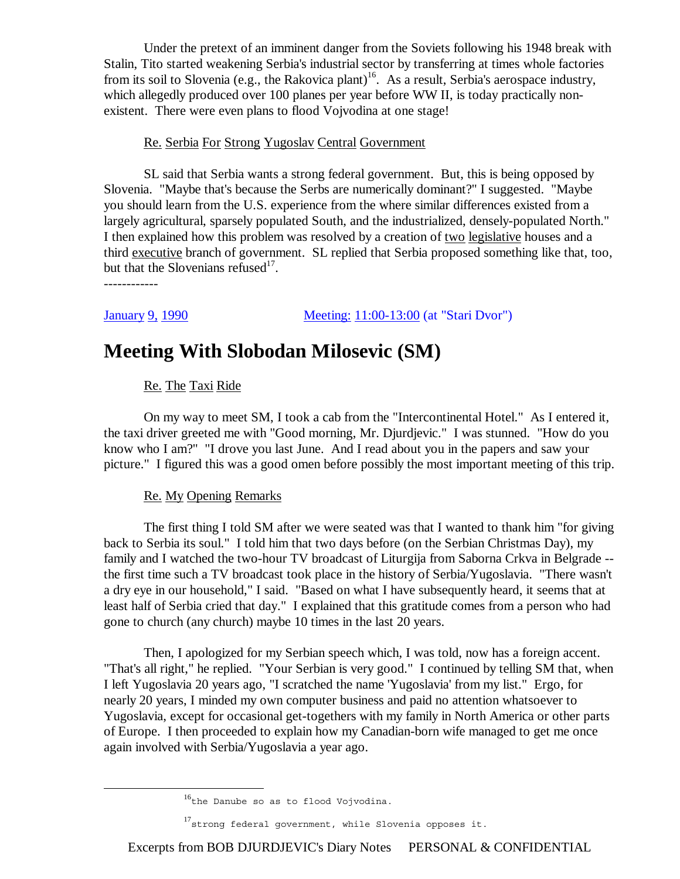Under the pretext of an imminent danger from the Soviets following his 1948 break with Stalin, Tito started weakening Serbia's industrial sector by transferring at times whole factories from its soil to Slovenia (e.g., the Rakovica plant)<sup>16</sup>. As a result, Serbia's aerospace industry, which allegedly produced over 100 planes per year before WW II, is today practically nonexistent. There were even plans to flood Vojvodina at one stage!

# Re. Serbia For Strong Yugoslav Central Government

 SL said that Serbia wants a strong federal government. But, this is being opposed by Slovenia. "Maybe that's because the Serbs are numerically dominant?" I suggested. "Maybe you should learn from the U.S. experience from the where similar differences existed from a largely agricultural, sparsely populated South, and the industrialized, densely-populated North." I then explained how this problem was resolved by a creation of two legislative houses and a third executive branch of government. SL replied that Serbia proposed something like that, too, but that the Slovenians refused $17$ .

------------

January 9, 1990 Meeting: 11:00-13:00 (at "Stari Dvor")

# **Meeting With Slobodan Milosevic (SM)**

# Re. The Taxi Ride

 On my way to meet SM, I took a cab from the "Intercontinental Hotel." As I entered it, the taxi driver greeted me with "Good morning, Mr. Djurdjevic." I was stunned. "How do you know who I am?" "I drove you last June. And I read about you in the papers and saw your picture." I figured this was a good omen before possibly the most important meeting of this trip.

#### Re. My Opening Remarks

 The first thing I told SM after we were seated was that I wanted to thank him "for giving back to Serbia its soul." I told him that two days before (on the Serbian Christmas Day), my family and I watched the two-hour TV broadcast of Liturgija from Saborna Crkva in Belgrade - the first time such a TV broadcast took place in the history of Serbia/Yugoslavia. "There wasn't a dry eye in our household," I said. "Based on what I have subsequently heard, it seems that at least half of Serbia cried that day." I explained that this gratitude comes from a person who had gone to church (any church) maybe 10 times in the last 20 years.

 Then, I apologized for my Serbian speech which, I was told, now has a foreign accent. "That's all right," he replied. "Your Serbian is very good." I continued by telling SM that, when I left Yugoslavia 20 years ago, "I scratched the name 'Yugoslavia' from my list." Ergo, for nearly 20 years, I minded my own computer business and paid no attention whatsoever to Yugoslavia, except for occasional get-togethers with my family in North America or other parts of Europe. I then proceeded to explain how my Canadian-born wife managed to get me once again involved with Serbia/Yugoslavia a year ago.

Excerpts from BOB DJURDJEVIC's Diary Notes PERSONAL & CONFIDENTIAL

 $16$ <sup>16</sup>the Danube so as to flood Vojvodina.

<sup>17</sup> strong federal government, while Slovenia opposes it.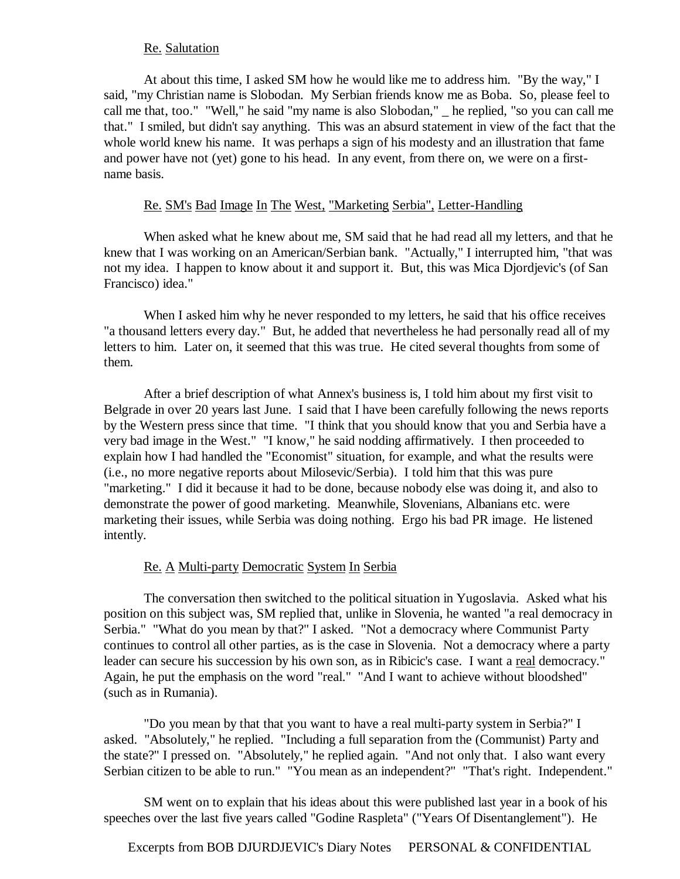### Re. Salutation

 At about this time, I asked SM how he would like me to address him. "By the way," I said, "my Christian name is Slobodan. My Serbian friends know me as Boba. So, please feel to call me that, too." "Well," he said "my name is also Slobodan," \_ he replied, "so you can call me that." I smiled, but didn't say anything. This was an absurd statement in view of the fact that the whole world knew his name. It was perhaps a sign of his modesty and an illustration that fame and power have not (yet) gone to his head. In any event, from there on, we were on a firstname basis.

# Re. SM's Bad Image In The West, "Marketing Serbia", Letter-Handling

 When asked what he knew about me, SM said that he had read all my letters, and that he knew that I was working on an American/Serbian bank. "Actually," I interrupted him, "that was not my idea. I happen to know about it and support it. But, this was Mica Djordjevic's (of San Francisco) idea."

 When I asked him why he never responded to my letters, he said that his office receives "a thousand letters every day." But, he added that nevertheless he had personally read all of my letters to him. Later on, it seemed that this was true. He cited several thoughts from some of them.

 After a brief description of what Annex's business is, I told him about my first visit to Belgrade in over 20 years last June. I said that I have been carefully following the news reports by the Western press since that time. "I think that you should know that you and Serbia have a very bad image in the West." "I know," he said nodding affirmatively. I then proceeded to explain how I had handled the "Economist" situation, for example, and what the results were (i.e., no more negative reports about Milosevic/Serbia). I told him that this was pure "marketing." I did it because it had to be done, because nobody else was doing it, and also to demonstrate the power of good marketing. Meanwhile, Slovenians, Albanians etc. were marketing their issues, while Serbia was doing nothing. Ergo his bad PR image. He listened intently.

# Re. A Multi-party Democratic System In Serbia

 The conversation then switched to the political situation in Yugoslavia. Asked what his position on this subject was, SM replied that, unlike in Slovenia, he wanted "a real democracy in Serbia." "What do you mean by that?" I asked. "Not a democracy where Communist Party continues to control all other parties, as is the case in Slovenia. Not a democracy where a party leader can secure his succession by his own son, as in Ribicic's case. I want a real democracy." Again, he put the emphasis on the word "real." "And I want to achieve without bloodshed" (such as in Rumania).

 "Do you mean by that that you want to have a real multi-party system in Serbia?" I asked. "Absolutely," he replied. "Including a full separation from the (Communist) Party and the state?" I pressed on. "Absolutely," he replied again. "And not only that. I also want every Serbian citizen to be able to run." "You mean as an independent?" "That's right. Independent."

 SM went on to explain that his ideas about this were published last year in a book of his speeches over the last five years called "Godine Raspleta" ("Years Of Disentanglement"). He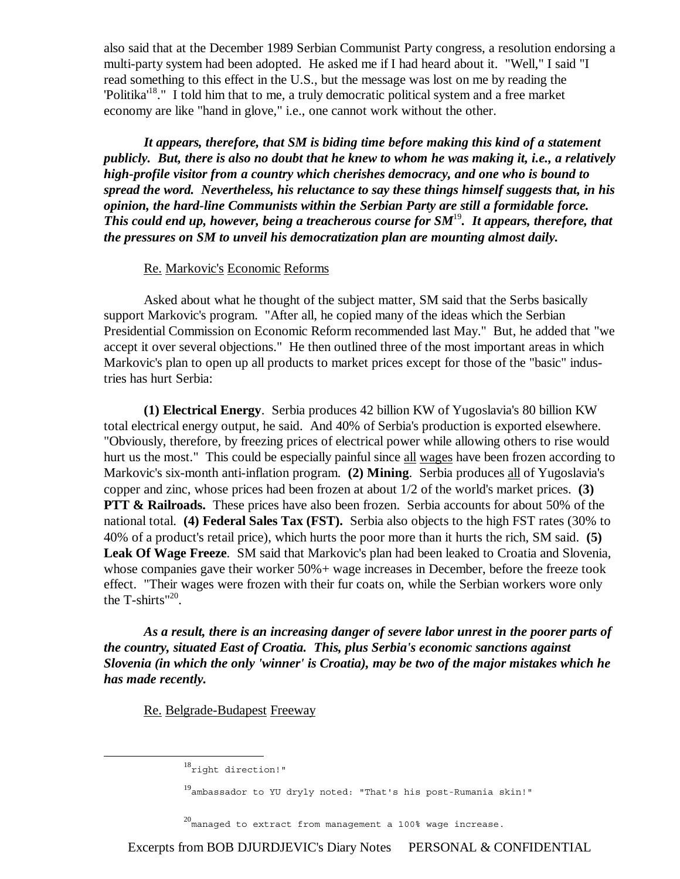also said that at the December 1989 Serbian Communist Party congress, a resolution endorsing a multi-party system had been adopted. He asked me if I had heard about it. "Well," I said "I read something to this effect in the U.S., but the message was lost on me by reading the 'Politika'<sup>18</sup>." I told him that to me, a truly democratic political system and a free market economy are like "hand in glove," i.e., one cannot work without the other.

*It appears, therefore, that SM is biding time before making this kind of a statement publicly. But, there is also no doubt that he knew to whom he was making it, i.e., a relatively high-profile visitor from a country which cherishes democracy, and one who is bound to spread the word. Nevertheless, his reluctance to say these things himself suggests that, in his opinion, the hard-line Communists within the Serbian Party are still a formidable force. This could end up, however, being a treacherous course for SM*<sup>19</sup>*. It appears, therefore, that the pressures on SM to unveil his democratization plan are mounting almost daily.*

### Re. Markovic's Economic Reforms

 Asked about what he thought of the subject matter, SM said that the Serbs basically support Markovic's program. "After all, he copied many of the ideas which the Serbian Presidential Commission on Economic Reform recommended last May." But, he added that "we accept it over several objections." He then outlined three of the most important areas in which Markovic's plan to open up all products to market prices except for those of the "basic" industries has hurt Serbia:

**(1) Electrical Energy**. Serbia produces 42 billion KW of Yugoslavia's 80 billion KW total electrical energy output, he said. And 40% of Serbia's production is exported elsewhere. "Obviously, therefore, by freezing prices of electrical power while allowing others to rise would hurt us the most." This could be especially painful since all wages have been frozen according to Markovic's six-month anti-inflation program. **(2) Mining**. Serbia produces all of Yugoslavia's copper and zinc, whose prices had been frozen at about 1/2 of the world's market prices. **(3) PTT & Railroads.** These prices have also been frozen. Serbia accounts for about 50% of the national total. **(4) Federal Sales Tax (FST).** Serbia also objects to the high FST rates (30% to 40% of a product's retail price), which hurts the poor more than it hurts the rich, SM said. **(5) Leak Of Wage Freeze**. SM said that Markovic's plan had been leaked to Croatia and Slovenia, whose companies gave their worker 50% + wage increases in December, before the freeze took effect. "Their wages were frozen with their fur coats on, while the Serbian workers wore only the T-shirts" $^{20}$ .

*As a result, there is an increasing danger of severe labor unrest in the poorer parts of the country, situated East of Croatia. This, plus Serbia's economic sanctions against Slovenia (in which the only 'winner' is Croatia), may be two of the major mistakes which he has made recently.*

Re. Belgrade-Budapest Freeway

 $^{20}$ managed to extract from management a 100% wage increase.

Excerpts from BOB DJURDJEVIC's Diary Notes PERSONAL & CONFIDENTIAL

<sup>18&</sup>lt;sub>right</sub> direction!"

<sup>19</sup>ambassador to YU dryly noted: "That's his post-Rumania skin!"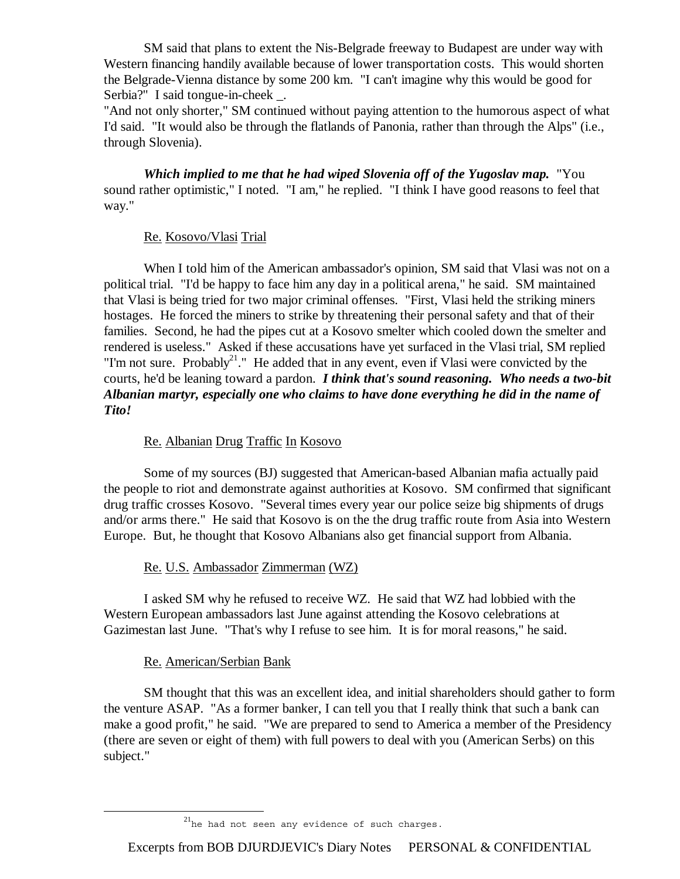SM said that plans to extent the Nis-Belgrade freeway to Budapest are under way with Western financing handily available because of lower transportation costs. This would shorten the Belgrade-Vienna distance by some 200 km. "I can't imagine why this would be good for Serbia?" I said tongue-in-cheek \_.

"And not only shorter," SM continued without paying attention to the humorous aspect of what I'd said. "It would also be through the flatlands of Panonia, rather than through the Alps" (i.e., through Slovenia).

*Which implied to me that he had wiped Slovenia off of the Yugoslav map.* "You sound rather optimistic," I noted. "I am," he replied. "I think I have good reasons to feel that way."

# Re. Kosovo/Vlasi Trial

 When I told him of the American ambassador's opinion, SM said that Vlasi was not on a political trial. "I'd be happy to face him any day in a political arena," he said. SM maintained that Vlasi is being tried for two major criminal offenses. "First, Vlasi held the striking miners hostages. He forced the miners to strike by threatening their personal safety and that of their families. Second, he had the pipes cut at a Kosovo smelter which cooled down the smelter and rendered is useless." Asked if these accusations have yet surfaced in the Vlasi trial, SM replied "I'm not sure. Probably<sup>21</sup>." He added that in any event, even if Vlasi were convicted by the courts, he'd be leaning toward a pardon. *I think that's sound reasoning. Who needs a two-bit Albanian martyr, especially one who claims to have done everything he did in the name of Tito!*

# Re. Albanian Drug Traffic In Kosovo

 Some of my sources (BJ) suggested that American-based Albanian mafia actually paid the people to riot and demonstrate against authorities at Kosovo. SM confirmed that significant drug traffic crosses Kosovo. "Several times every year our police seize big shipments of drugs and/or arms there." He said that Kosovo is on the the drug traffic route from Asia into Western Europe. But, he thought that Kosovo Albanians also get financial support from Albania.

# Re. U.S. Ambassador Zimmerman (WZ)

 I asked SM why he refused to receive WZ. He said that WZ had lobbied with the Western European ambassadors last June against attending the Kosovo celebrations at Gazimestan last June. "That's why I refuse to see him. It is for moral reasons," he said.

# Re. American/Serbian Bank

 SM thought that this was an excellent idea, and initial shareholders should gather to form the venture ASAP. "As a former banker, I can tell you that I really think that such a bank can make a good profit," he said. "We are prepared to send to America a member of the Presidency (there are seven or eight of them) with full powers to deal with you (American Serbs) on this subject."

<sup>&</sup>lt;sup>21</sup>he had not seen any evidence of such charges.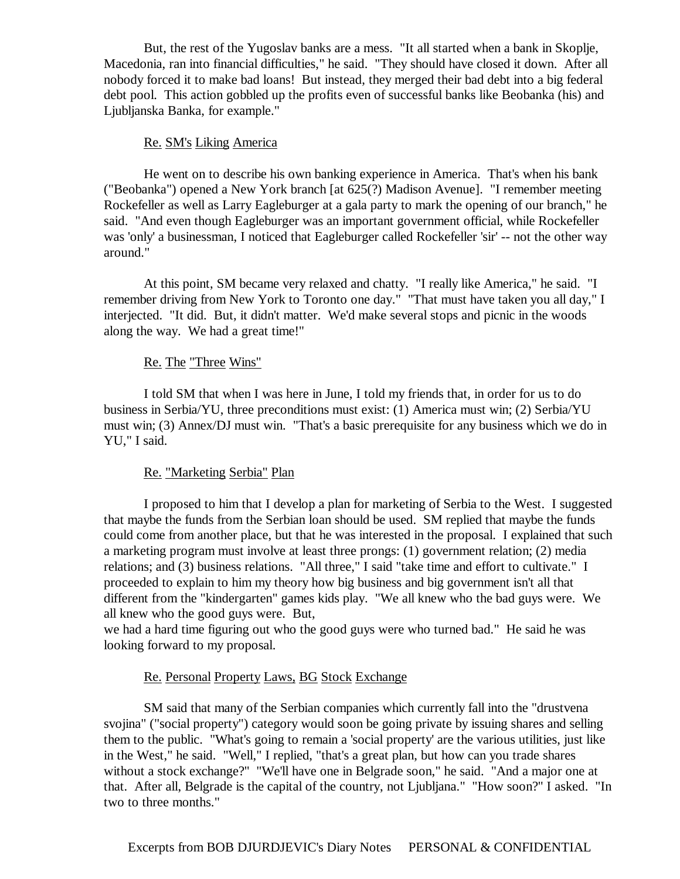But, the rest of the Yugoslav banks are a mess. "It all started when a bank in Skoplje, Macedonia, ran into financial difficulties," he said. "They should have closed it down. After all nobody forced it to make bad loans! But instead, they merged their bad debt into a big federal debt pool. This action gobbled up the profits even of successful banks like Beobanka (his) and Ljubljanska Banka, for example."

#### Re. SM's Liking America

 He went on to describe his own banking experience in America. That's when his bank ("Beobanka") opened a New York branch [at 625(?) Madison Avenue]. "I remember meeting Rockefeller as well as Larry Eagleburger at a gala party to mark the opening of our branch," he said. "And even though Eagleburger was an important government official, while Rockefeller was 'only' a businessman, I noticed that Eagleburger called Rockefeller 'sir' -- not the other way around."

 At this point, SM became very relaxed and chatty. "I really like America," he said. "I remember driving from New York to Toronto one day." "That must have taken you all day," I interjected. "It did. But, it didn't matter. We'd make several stops and picnic in the woods along the way. We had a great time!"

#### Re. The "Three Wins"

 I told SM that when I was here in June, I told my friends that, in order for us to do business in Serbia/YU, three preconditions must exist: (1) America must win; (2) Serbia/YU must win; (3) Annex/DJ must win. "That's a basic prerequisite for any business which we do in YU," I said.

#### Re. "Marketing Serbia" Plan

 I proposed to him that I develop a plan for marketing of Serbia to the West. I suggested that maybe the funds from the Serbian loan should be used. SM replied that maybe the funds could come from another place, but that he was interested in the proposal. I explained that such a marketing program must involve at least three prongs: (1) government relation; (2) media relations; and (3) business relations. "All three," I said "take time and effort to cultivate." I proceeded to explain to him my theory how big business and big government isn't all that different from the "kindergarten" games kids play. "We all knew who the bad guys were. We all knew who the good guys were. But,

we had a hard time figuring out who the good guys were who turned bad." He said he was looking forward to my proposal.

### Re. Personal Property Laws, BG Stock Exchange

 SM said that many of the Serbian companies which currently fall into the "drustvena svojina" ("social property") category would soon be going private by issuing shares and selling them to the public. "What's going to remain a 'social property' are the various utilities, just like in the West," he said. "Well," I replied, "that's a great plan, but how can you trade shares without a stock exchange?" "We'll have one in Belgrade soon," he said. "And a major one at that. After all, Belgrade is the capital of the country, not Ljubljana." "How soon?" I asked. "In two to three months."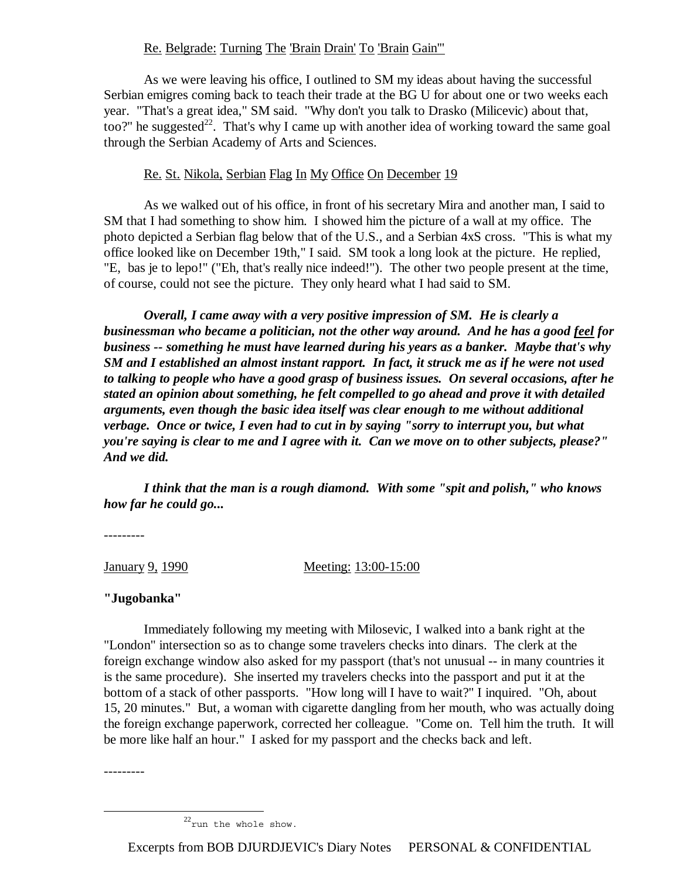# Re. Belgrade: Turning The 'Brain Drain' To 'Brain Gain'"

 As we were leaving his office, I outlined to SM my ideas about having the successful Serbian emigres coming back to teach their trade at the BG U for about one or two weeks each year. "That's a great idea," SM said. "Why don't you talk to Drasko (Milicevic) about that, too?" he suggested<sup>22</sup>. That's why I came up with another idea of working toward the same goal through the Serbian Academy of Arts and Sciences.

# Re. St. Nikola, Serbian Flag In My Office On December 19

 As we walked out of his office, in front of his secretary Mira and another man, I said to SM that I had something to show him. I showed him the picture of a wall at my office. The photo depicted a Serbian flag below that of the U.S., and a Serbian 4xS cross. "This is what my office looked like on December 19th," I said. SM took a long look at the picture. He replied, "E, bas je to lepo!" ("Eh, that's really nice indeed!"). The other two people present at the time, of course, could not see the picture. They only heard what I had said to SM.

*Overall, I came away with a very positive impression of SM. He is clearly a businessman who became a politician, not the other way around. And he has a good feel for business -- something he must have learned during his years as a banker. Maybe that's why SM and I established an almost instant rapport. In fact, it struck me as if he were not used to talking to people who have a good grasp of business issues. On several occasions, after he stated an opinion about something, he felt compelled to go ahead and prove it with detailed arguments, even though the basic idea itself was clear enough to me without additional verbage. Once or twice, I even had to cut in by saying "sorry to interrupt you, but what you're saying is clear to me and I agree with it. Can we move on to other subjects, please?" And we did.* 

 *I think that the man is a rough diamond. With some "spit and polish," who knows how far he could go...*

---------

January 9, 1990 Meeting: 13:00-15:00

# **"Jugobanka"**

 Immediately following my meeting with Milosevic, I walked into a bank right at the "London" intersection so as to change some travelers checks into dinars. The clerk at the foreign exchange window also asked for my passport (that's not unusual -- in many countries it is the same procedure). She inserted my travelers checks into the passport and put it at the bottom of a stack of other passports. "How long will I have to wait?" I inquired. "Oh, about 15, 20 minutes." But, a woman with cigarette dangling from her mouth, who was actually doing the foreign exchange paperwork, corrected her colleague. "Come on. Tell him the truth. It will be more like half an hour." I asked for my passport and the checks back and left.

---------

 $^{22}$ run the whole show.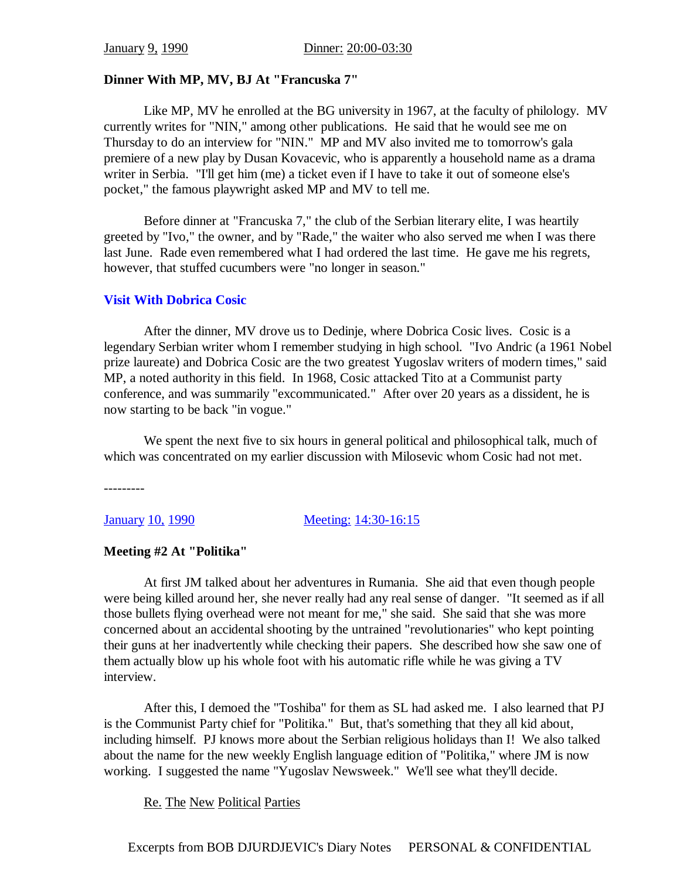# **Dinner With MP, MV, BJ At "Francuska 7"**

 Like MP, MV he enrolled at the BG university in 1967, at the faculty of philology. MV currently writes for "NIN," among other publications. He said that he would see me on Thursday to do an interview for "NIN." MP and MV also invited me to tomorrow's gala premiere of a new play by Dusan Kovacevic, who is apparently a household name as a drama writer in Serbia. "I'll get him (me) a ticket even if I have to take it out of someone else's pocket," the famous playwright asked MP and MV to tell me.

 Before dinner at "Francuska 7," the club of the Serbian literary elite, I was heartily greeted by "Ivo," the owner, and by "Rade," the waiter who also served me when I was there last June. Rade even remembered what I had ordered the last time. He gave me his regrets, however, that stuffed cucumbers were "no longer in season."

# **Visit With Dobrica Cosic**

 After the dinner, MV drove us to Dedinje, where Dobrica Cosic lives. Cosic is a legendary Serbian writer whom I remember studying in high school. "Ivo Andric (a 1961 Nobel prize laureate) and Dobrica Cosic are the two greatest Yugoslav writers of modern times," said MP, a noted authority in this field. In 1968, Cosic attacked Tito at a Communist party conference, and was summarily "excommunicated." After over 20 years as a dissident, he is now starting to be back "in vogue."

We spent the next five to six hours in general political and philosophical talk, much of which was concentrated on my earlier discussion with Milosevic whom Cosic had not met.

---------

January 10, 1990 Meeting: 14:30-16:15

# **Meeting #2 At "Politika"**

 At first JM talked about her adventures in Rumania. She aid that even though people were being killed around her, she never really had any real sense of danger. "It seemed as if all those bullets flying overhead were not meant for me," she said. She said that she was more concerned about an accidental shooting by the untrained "revolutionaries" who kept pointing their guns at her inadvertently while checking their papers. She described how she saw one of them actually blow up his whole foot with his automatic rifle while he was giving a TV interview.

 After this, I demoed the "Toshiba" for them as SL had asked me. I also learned that PJ is the Communist Party chief for "Politika." But, that's something that they all kid about, including himself. PJ knows more about the Serbian religious holidays than I! We also talked about the name for the new weekly English language edition of "Politika," where JM is now working. I suggested the name "Yugoslav Newsweek." We'll see what they'll decide.

Re. The New Political Parties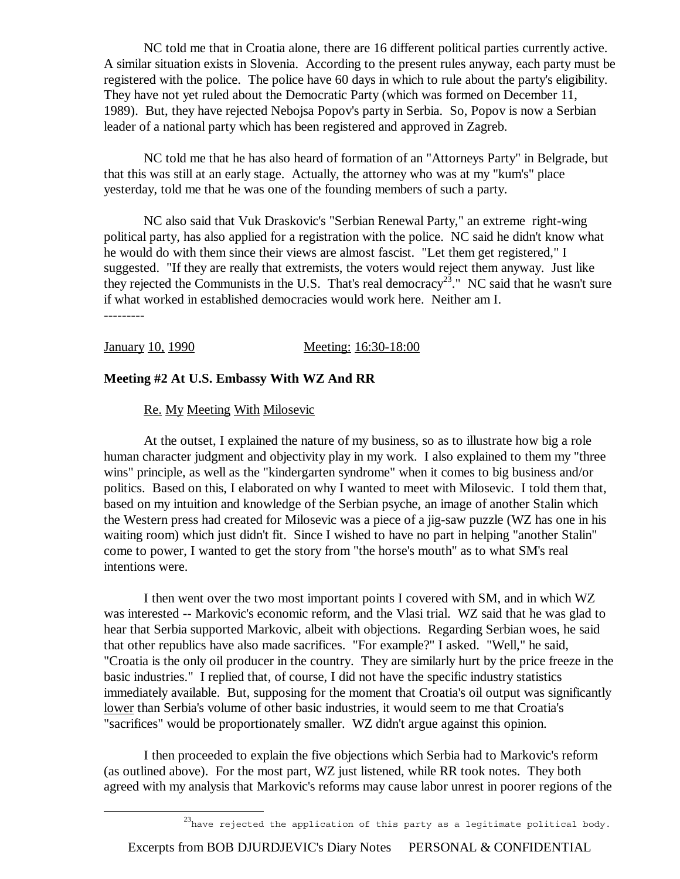NC told me that in Croatia alone, there are 16 different political parties currently active. A similar situation exists in Slovenia. According to the present rules anyway, each party must be registered with the police. The police have 60 days in which to rule about the party's eligibility. They have not yet ruled about the Democratic Party (which was formed on December 11, 1989). But, they have rejected Nebojsa Popov's party in Serbia. So, Popov is now a Serbian leader of a national party which has been registered and approved in Zagreb.

 NC told me that he has also heard of formation of an "Attorneys Party" in Belgrade, but that this was still at an early stage. Actually, the attorney who was at my "kum's" place yesterday, told me that he was one of the founding members of such a party.

 NC also said that Vuk Draskovic's "Serbian Renewal Party," an extreme right-wing political party, has also applied for a registration with the police. NC said he didn't know what he would do with them since their views are almost fascist. "Let them get registered," I suggested. "If they are really that extremists, the voters would reject them anyway. Just like they rejected the Communists in the U.S. That's real democracy<sup>23</sup>." NC said that he wasn't sure if what worked in established democracies would work here. Neither am I. ---------

January 10, 1990 Meeting: 16:30-18:00

# **Meeting #2 At U.S. Embassy With WZ And RR**

Re. My Meeting With Milosevic

 At the outset, I explained the nature of my business, so as to illustrate how big a role human character judgment and objectivity play in my work. I also explained to them my "three wins" principle, as well as the "kindergarten syndrome" when it comes to big business and/or politics. Based on this, I elaborated on why I wanted to meet with Milosevic. I told them that, based on my intuition and knowledge of the Serbian psyche, an image of another Stalin which the Western press had created for Milosevic was a piece of a jig-saw puzzle (WZ has one in his waiting room) which just didn't fit. Since I wished to have no part in helping "another Stalin" come to power, I wanted to get the story from "the horse's mouth" as to what SM's real intentions were.

 I then went over the two most important points I covered with SM, and in which WZ was interested -- Markovic's economic reform, and the Vlasi trial. WZ said that he was glad to hear that Serbia supported Markovic, albeit with objections. Regarding Serbian woes, he said that other republics have also made sacrifices. "For example?" I asked. "Well," he said, "Croatia is the only oil producer in the country. They are similarly hurt by the price freeze in the basic industries." I replied that, of course, I did not have the specific industry statistics immediately available. But, supposing for the moment that Croatia's oil output was significantly lower than Serbia's volume of other basic industries, it would seem to me that Croatia's "sacrifices" would be proportionately smaller. WZ didn't argue against this opinion.

 I then proceeded to explain the five objections which Serbia had to Markovic's reform (as outlined above). For the most part, WZ just listened, while RR took notes. They both agreed with my analysis that Markovic's reforms may cause labor unrest in poorer regions of the

 $^{23}$ have rejected the application of this party as a legitimate political body.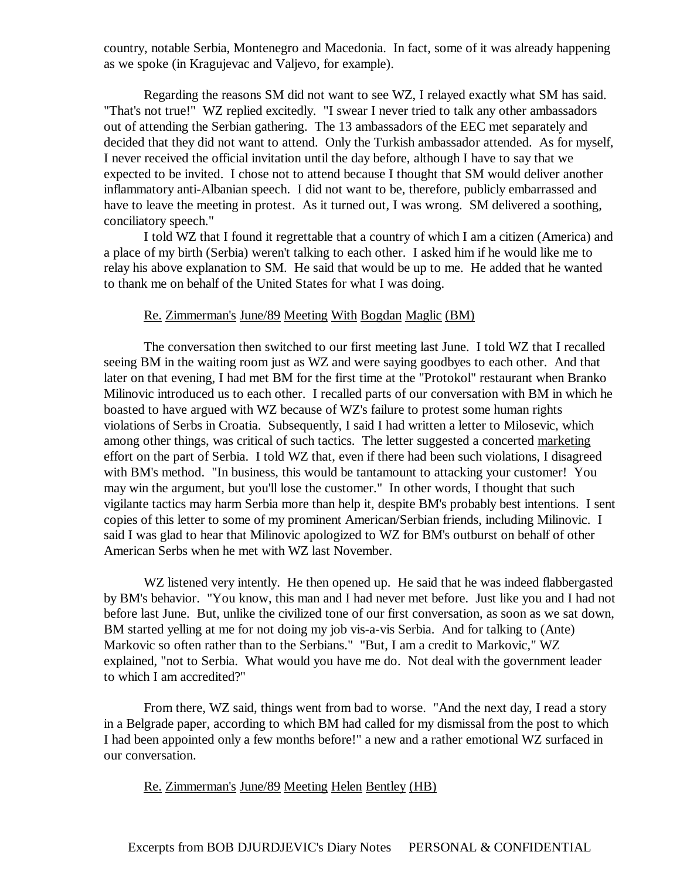country, notable Serbia, Montenegro and Macedonia. In fact, some of it was already happening as we spoke (in Kragujevac and Valjevo, for example).

 Regarding the reasons SM did not want to see WZ, I relayed exactly what SM has said. "That's not true!" WZ replied excitedly. "I swear I never tried to talk any other ambassadors out of attending the Serbian gathering. The 13 ambassadors of the EEC met separately and decided that they did not want to attend. Only the Turkish ambassador attended. As for myself, I never received the official invitation until the day before, although I have to say that we expected to be invited. I chose not to attend because I thought that SM would deliver another inflammatory anti-Albanian speech. I did not want to be, therefore, publicly embarrassed and have to leave the meeting in protest. As it turned out, I was wrong. SM delivered a soothing, conciliatory speech."

 I told WZ that I found it regrettable that a country of which I am a citizen (America) and a place of my birth (Serbia) weren't talking to each other. I asked him if he would like me to relay his above explanation to SM. He said that would be up to me. He added that he wanted to thank me on behalf of the United States for what I was doing.

#### Re. Zimmerman's June/89 Meeting With Bogdan Maglic (BM)

 The conversation then switched to our first meeting last June. I told WZ that I recalled seeing BM in the waiting room just as WZ and were saying goodbyes to each other. And that later on that evening, I had met BM for the first time at the "Protokol" restaurant when Branko Milinovic introduced us to each other. I recalled parts of our conversation with BM in which he boasted to have argued with WZ because of WZ's failure to protest some human rights violations of Serbs in Croatia. Subsequently, I said I had written a letter to Milosevic, which among other things, was critical of such tactics. The letter suggested a concerted marketing effort on the part of Serbia. I told WZ that, even if there had been such violations, I disagreed with BM's method. "In business, this would be tantamount to attacking your customer! You may win the argument, but you'll lose the customer." In other words, I thought that such vigilante tactics may harm Serbia more than help it, despite BM's probably best intentions. I sent copies of this letter to some of my prominent American/Serbian friends, including Milinovic. I said I was glad to hear that Milinovic apologized to WZ for BM's outburst on behalf of other American Serbs when he met with WZ last November.

WZ listened very intently. He then opened up. He said that he was indeed flabbergasted by BM's behavior. "You know, this man and I had never met before. Just like you and I had not before last June. But, unlike the civilized tone of our first conversation, as soon as we sat down, BM started yelling at me for not doing my job vis-a-vis Serbia. And for talking to (Ante) Markovic so often rather than to the Serbians." "But, I am a credit to Markovic," WZ explained, "not to Serbia. What would you have me do. Not deal with the government leader to which I am accredited?"

 From there, WZ said, things went from bad to worse. "And the next day, I read a story in a Belgrade paper, according to which BM had called for my dismissal from the post to which I had been appointed only a few months before!" a new and a rather emotional WZ surfaced in our conversation.

### Re. Zimmerman's June/89 Meeting Helen Bentley (HB)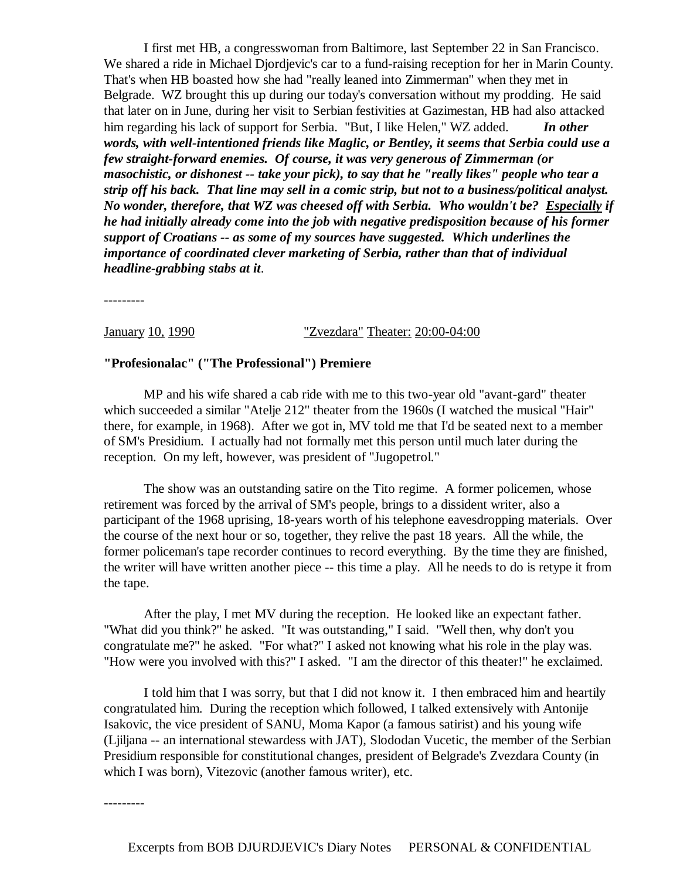I first met HB, a congresswoman from Baltimore, last September 22 in San Francisco. We shared a ride in Michael Djordjevic's car to a fund-raising reception for her in Marin County. That's when HB boasted how she had "really leaned into Zimmerman" when they met in Belgrade. WZ brought this up during our today's conversation without my prodding. He said that later on in June, during her visit to Serbian festivities at Gazimestan, HB had also attacked him regarding his lack of support for Serbia. "But, I like Helen," WZ added. *In other words, with well-intentioned friends like Maglic, or Bentley, it seems that Serbia could use a few straight-forward enemies. Of course, it was very generous of Zimmerman (or masochistic, or dishonest -- take your pick), to say that he "really likes" people who tear a strip off his back. That line may sell in a comic strip, but not to a business/political analyst. No wonder, therefore, that WZ was cheesed off with Serbia. Who wouldn't be? Especially if he had initially already come into the job with negative predisposition because of his former support of Croatians -- as some of my sources have suggested. Which underlines the importance of coordinated clever marketing of Serbia, rather than that of individual headline-grabbing stabs at it*.

---------

January 10, 1990 "Zvezdara" Theater: 20:00-04:00

#### **"Profesionalac" ("The Professional") Premiere**

 MP and his wife shared a cab ride with me to this two-year old "avant-gard" theater which succeeded a similar "Atelje 212" theater from the 1960s (I watched the musical "Hair" there, for example, in 1968). After we got in, MV told me that I'd be seated next to a member of SM's Presidium. I actually had not formally met this person until much later during the reception. On my left, however, was president of "Jugopetrol."

 The show was an outstanding satire on the Tito regime. A former policemen, whose retirement was forced by the arrival of SM's people, brings to a dissident writer, also a participant of the 1968 uprising, 18-years worth of his telephone eavesdropping materials. Over the course of the next hour or so, together, they relive the past 18 years. All the while, the former policeman's tape recorder continues to record everything. By the time they are finished, the writer will have written another piece -- this time a play. All he needs to do is retype it from the tape.

 After the play, I met MV during the reception. He looked like an expectant father. "What did you think?" he asked. "It was outstanding," I said. "Well then, why don't you congratulate me?" he asked. "For what?" I asked not knowing what his role in the play was. "How were you involved with this?" I asked. "I am the director of this theater!" he exclaimed.

 I told him that I was sorry, but that I did not know it. I then embraced him and heartily congratulated him. During the reception which followed, I talked extensively with Antonije Isakovic, the vice president of SANU, Moma Kapor (a famous satirist) and his young wife (Ljiljana -- an international stewardess with JAT), Slododan Vucetic, the member of the Serbian Presidium responsible for constitutional changes, president of Belgrade's Zvezdara County (in which I was born), Vitezovic (another famous writer), etc.

---------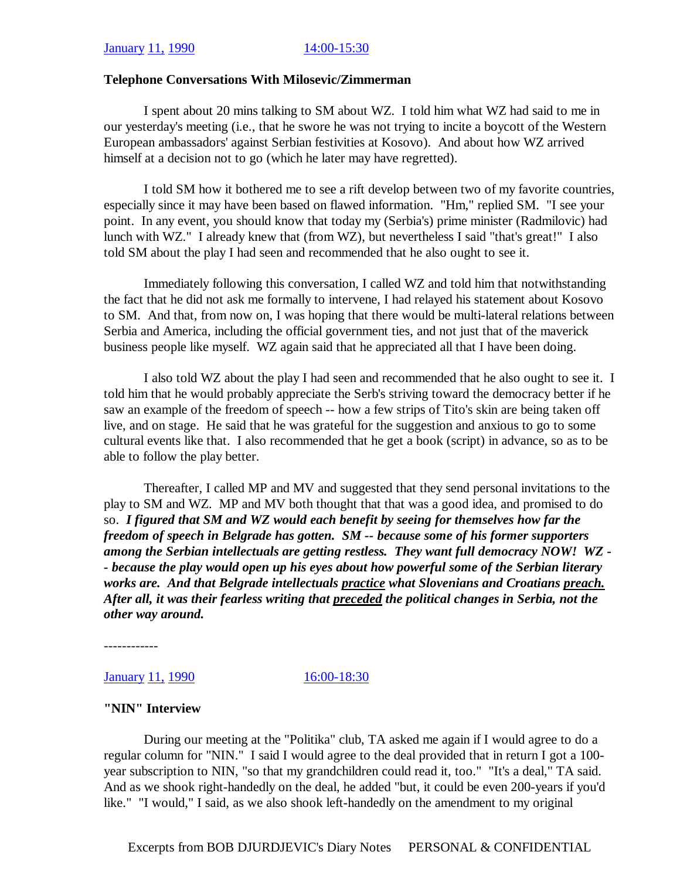#### **Telephone Conversations With Milosevic/Zimmerman**

 I spent about 20 mins talking to SM about WZ. I told him what WZ had said to me in our yesterday's meeting (i.e., that he swore he was not trying to incite a boycott of the Western European ambassadors' against Serbian festivities at Kosovo). And about how WZ arrived himself at a decision not to go (which he later may have regretted).

 I told SM how it bothered me to see a rift develop between two of my favorite countries, especially since it may have been based on flawed information. "Hm," replied SM. "I see your point. In any event, you should know that today my (Serbia's) prime minister (Radmilovic) had lunch with WZ." I already knew that (from WZ), but nevertheless I said "that's great!" I also told SM about the play I had seen and recommended that he also ought to see it.

 Immediately following this conversation, I called WZ and told him that notwithstanding the fact that he did not ask me formally to intervene, I had relayed his statement about Kosovo to SM. And that, from now on, I was hoping that there would be multi-lateral relations between Serbia and America, including the official government ties, and not just that of the maverick business people like myself. WZ again said that he appreciated all that I have been doing.

 I also told WZ about the play I had seen and recommended that he also ought to see it. I told him that he would probably appreciate the Serb's striving toward the democracy better if he saw an example of the freedom of speech -- how a few strips of Tito's skin are being taken off live, and on stage. He said that he was grateful for the suggestion and anxious to go to some cultural events like that. I also recommended that he get a book (script) in advance, so as to be able to follow the play better.

 Thereafter, I called MP and MV and suggested that they send personal invitations to the play to SM and WZ. MP and MV both thought that that was a good idea, and promised to do so. *I figured that SM and WZ would each benefit by seeing for themselves how far the freedom of speech in Belgrade has gotten. SM -- because some of his former supporters among the Serbian intellectuals are getting restless. They want full democracy NOW! WZ - - because the play would open up his eyes about how powerful some of the Serbian literary works are. And that Belgrade intellectuals practice what Slovenians and Croatians preach. After all, it was their fearless writing that preceded the political changes in Serbia, not the other way around.*

------------

**January 11, 1990** 16:00-18:30

#### **"NIN" Interview**

 During our meeting at the "Politika" club, TA asked me again if I would agree to do a regular column for "NIN." I said I would agree to the deal provided that in return I got a 100 year subscription to NIN, "so that my grandchildren could read it, too." "It's a deal," TA said. And as we shook right-handedly on the deal, he added "but, it could be even 200-years if you'd like." "I would," I said, as we also shook left-handedly on the amendment to my original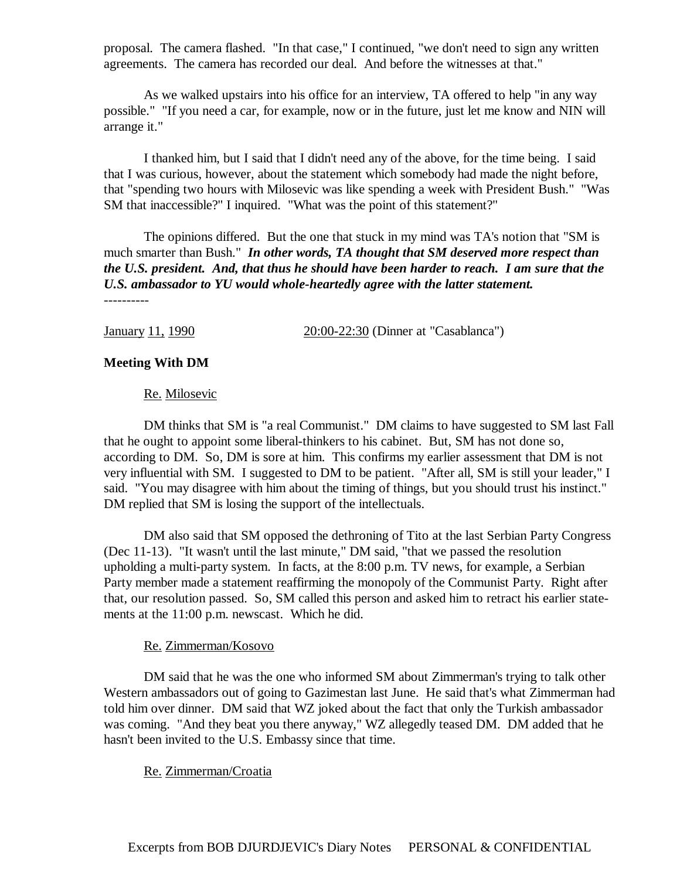proposal. The camera flashed. "In that case," I continued, "we don't need to sign any written agreements. The camera has recorded our deal. And before the witnesses at that."

 As we walked upstairs into his office for an interview, TA offered to help "in any way possible." "If you need a car, for example, now or in the future, just let me know and NIN will arrange it."

 I thanked him, but I said that I didn't need any of the above, for the time being. I said that I was curious, however, about the statement which somebody had made the night before, that "spending two hours with Milosevic was like spending a week with President Bush." "Was SM that inaccessible?" I inquired. "What was the point of this statement?"

 The opinions differed. But the one that stuck in my mind was TA's notion that "SM is much smarter than Bush." *In other words, TA thought that SM deserved more respect than the U.S. president. And, that thus he should have been harder to reach. I am sure that the U.S. ambassador to YU would whole-heartedly agree with the latter statement.* ----------

January 11, 1990 20:00-22:30 (Dinner at "Casablanca")

#### **Meeting With DM**

#### Re. Milosevic

 DM thinks that SM is "a real Communist." DM claims to have suggested to SM last Fall that he ought to appoint some liberal-thinkers to his cabinet. But, SM has not done so, according to DM. So, DM is sore at him. This confirms my earlier assessment that DM is not very influential with SM. I suggested to DM to be patient. "After all, SM is still your leader," I said. "You may disagree with him about the timing of things, but you should trust his instinct." DM replied that SM is losing the support of the intellectuals.

 DM also said that SM opposed the dethroning of Tito at the last Serbian Party Congress (Dec 11-13). "It wasn't until the last minute," DM said, "that we passed the resolution upholding a multi-party system. In facts, at the 8:00 p.m. TV news, for example, a Serbian Party member made a statement reaffirming the monopoly of the Communist Party. Right after that, our resolution passed. So, SM called this person and asked him to retract his earlier statements at the 11:00 p.m. newscast. Which he did.

#### Re. Zimmerman/Kosovo

 DM said that he was the one who informed SM about Zimmerman's trying to talk other Western ambassadors out of going to Gazimestan last June. He said that's what Zimmerman had told him over dinner. DM said that WZ joked about the fact that only the Turkish ambassador was coming. "And they beat you there anyway," WZ allegedly teased DM. DM added that he hasn't been invited to the U.S. Embassy since that time.

#### Re. Zimmerman/Croatia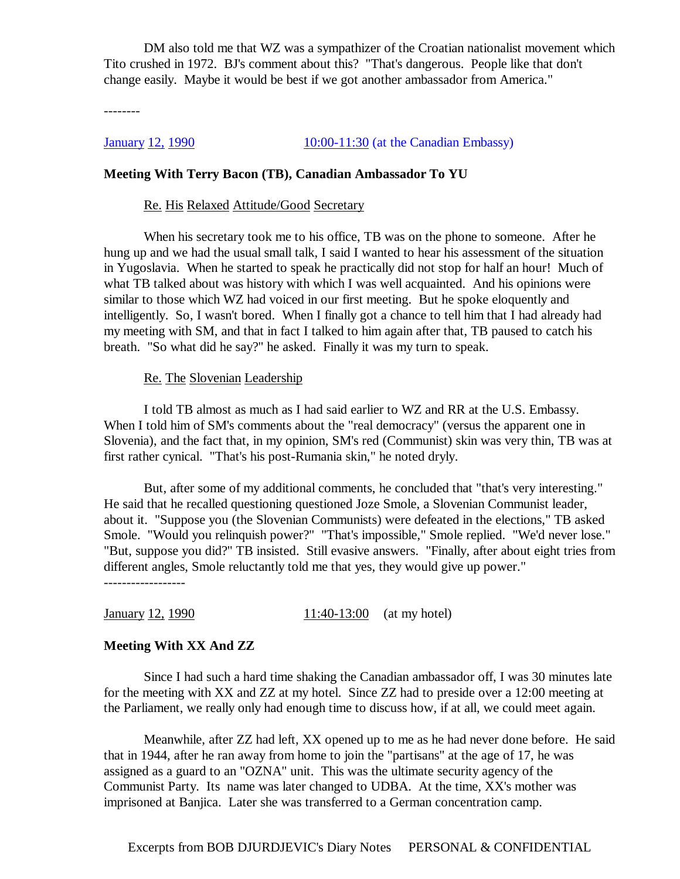DM also told me that WZ was a sympathizer of the Croatian nationalist movement which Tito crushed in 1972. BJ's comment about this? "That's dangerous. People like that don't change easily. Maybe it would be best if we got another ambassador from America."

--------

January 12, 1990 10:00-11:30 (at the Canadian Embassy)

#### **Meeting With Terry Bacon (TB), Canadian Ambassador To YU**

#### Re. His Relaxed Attitude/Good Secretary

 When his secretary took me to his office, TB was on the phone to someone. After he hung up and we had the usual small talk, I said I wanted to hear his assessment of the situation in Yugoslavia. When he started to speak he practically did not stop for half an hour! Much of what TB talked about was history with which I was well acquainted. And his opinions were similar to those which WZ had voiced in our first meeting. But he spoke eloquently and intelligently. So, I wasn't bored. When I finally got a chance to tell him that I had already had my meeting with SM, and that in fact I talked to him again after that, TB paused to catch his breath. "So what did he say?" he asked. Finally it was my turn to speak.

#### Re. The Slovenian Leadership

 I told TB almost as much as I had said earlier to WZ and RR at the U.S. Embassy. When I told him of SM's comments about the "real democracy" (versus the apparent one in Slovenia), and the fact that, in my opinion, SM's red (Communist) skin was very thin, TB was at first rather cynical. "That's his post-Rumania skin," he noted dryly.

 But, after some of my additional comments, he concluded that "that's very interesting." He said that he recalled questioning questioned Joze Smole, a Slovenian Communist leader, about it. "Suppose you (the Slovenian Communists) were defeated in the elections," TB asked Smole. "Would you relinquish power?" "That's impossible," Smole replied. "We'd never lose." "But, suppose you did?" TB insisted. Still evasive answers. "Finally, after about eight tries from different angles, Smole reluctantly told me that yes, they would give up power." ------------------

 $\frac{\text{January } 12, 1990}{11:40-13:00}$  (at my hotel)

#### **Meeting With XX And ZZ**

 Since I had such a hard time shaking the Canadian ambassador off, I was 30 minutes late for the meeting with XX and ZZ at my hotel. Since ZZ had to preside over a 12:00 meeting at the Parliament, we really only had enough time to discuss how, if at all, we could meet again.

 Meanwhile, after ZZ had left, XX opened up to me as he had never done before. He said that in 1944, after he ran away from home to join the "partisans" at the age of 17, he was assigned as a guard to an "OZNA" unit. This was the ultimate security agency of the Communist Party. Its name was later changed to UDBA. At the time, XX's mother was imprisoned at Banjica. Later she was transferred to a German concentration camp.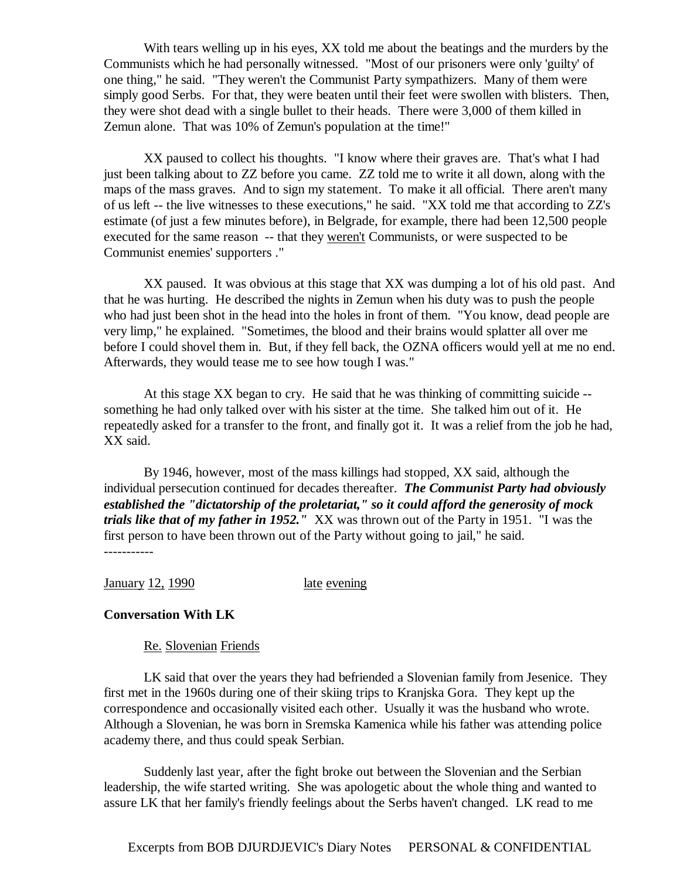With tears welling up in his eyes, XX told me about the beatings and the murders by the Communists which he had personally witnessed. "Most of our prisoners were only 'guilty' of one thing," he said. "They weren't the Communist Party sympathizers. Many of them were simply good Serbs. For that, they were beaten until their feet were swollen with blisters. Then, they were shot dead with a single bullet to their heads. There were 3,000 of them killed in Zemun alone. That was 10% of Zemun's population at the time!"

 XX paused to collect his thoughts. "I know where their graves are. That's what I had just been talking about to ZZ before you came. ZZ told me to write it all down, along with the maps of the mass graves. And to sign my statement. To make it all official. There aren't many of us left -- the live witnesses to these executions," he said. "XX told me that according to ZZ's estimate (of just a few minutes before), in Belgrade, for example, there had been 12,500 people executed for the same reason -- that they weren't Communists, or were suspected to be Communist enemies' supporters ."

 XX paused. It was obvious at this stage that XX was dumping a lot of his old past. And that he was hurting. He described the nights in Zemun when his duty was to push the people who had just been shot in the head into the holes in front of them. "You know, dead people are very limp," he explained. "Sometimes, the blood and their brains would splatter all over me before I could shovel them in. But, if they fell back, the OZNA officers would yell at me no end. Afterwards, they would tease me to see how tough I was."

 At this stage XX began to cry. He said that he was thinking of committing suicide - something he had only talked over with his sister at the time. She talked him out of it. He repeatedly asked for a transfer to the front, and finally got it. It was a relief from the job he had, XX said.

 By 1946, however, most of the mass killings had stopped, XX said, although the individual persecution continued for decades thereafter. *The Communist Party had obviously established the "dictatorship of the proletariat," so it could afford the generosity of mock trials like that of my father in 1952."* XX was thrown out of the Party in 1951. "I was the first person to have been thrown out of the Party without going to jail," he said. -----------

January 12, 1990 late evening

# **Conversation With LK**

#### Re. Slovenian Friends

 LK said that over the years they had befriended a Slovenian family from Jesenice. They first met in the 1960s during one of their skiing trips to Kranjska Gora. They kept up the correspondence and occasionally visited each other. Usually it was the husband who wrote. Although a Slovenian, he was born in Sremska Kamenica while his father was attending police academy there, and thus could speak Serbian.

 Suddenly last year, after the fight broke out between the Slovenian and the Serbian leadership, the wife started writing. She was apologetic about the whole thing and wanted to assure LK that her family's friendly feelings about the Serbs haven't changed. LK read to me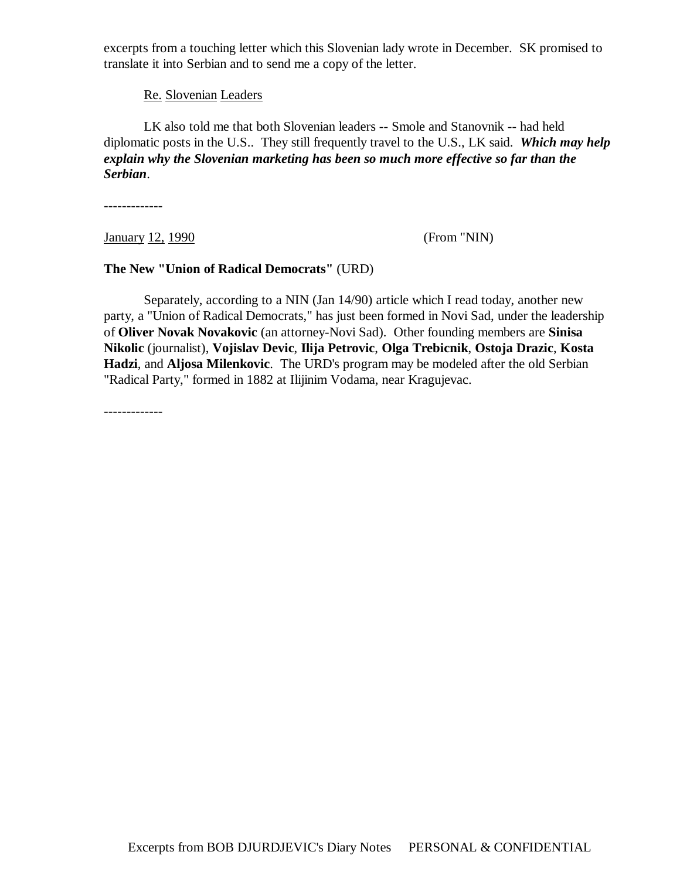excerpts from a touching letter which this Slovenian lady wrote in December. SK promised to translate it into Serbian and to send me a copy of the letter.

Re. Slovenian Leaders

 LK also told me that both Slovenian leaders -- Smole and Stanovnik -- had held diplomatic posts in the U.S.. They still frequently travel to the U.S., LK said. *Which may help explain why the Slovenian marketing has been so much more effective so far than the Serbian*.

-------------

**January 12, 1990** (From "NIN)

### **The New "Union of Radical Democrats"** (URD)

 Separately, according to a NIN (Jan 14/90) article which I read today, another new party, a "Union of Radical Democrats," has just been formed in Novi Sad, under the leadership of **Oliver Novak Novakovic** (an attorney-Novi Sad). Other founding members are **Sinisa Nikolic** (journalist), **Vojislav Devic**, **Ilija Petrovic**, **Olga Trebicnik**, **Ostoja Drazic**, **Kosta Hadzi**, and **Aljosa Milenkovic**. The URD's program may be modeled after the old Serbian "Radical Party," formed in 1882 at Ilijinim Vodama, near Kragujevac.

-------------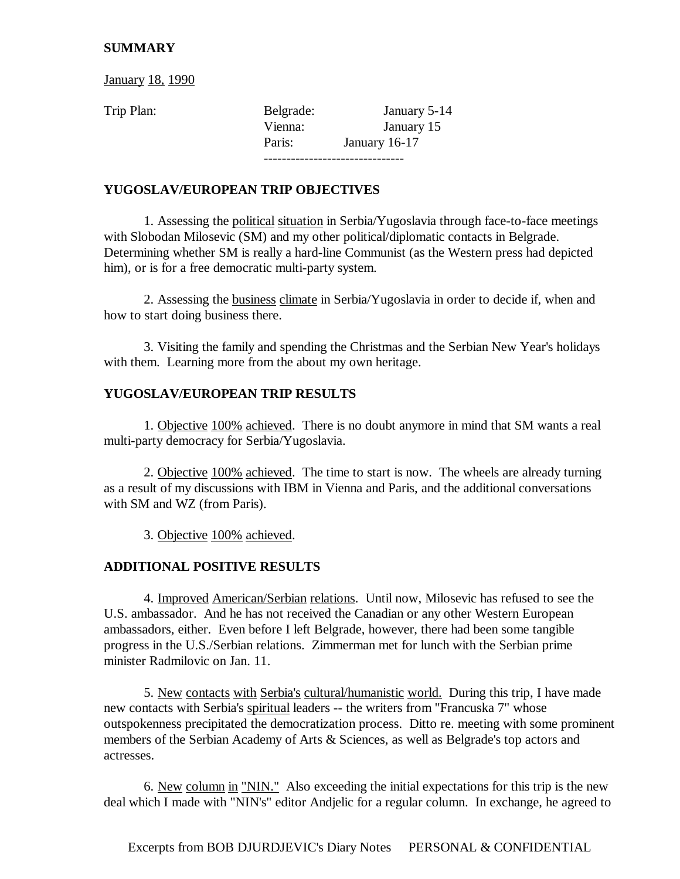# **SUMMARY**

**January 18, 1990** 

Trip Plan: Belgrade: January 5-14 Vienna: January 15 Paris: January 16-17 -------------------------------

# **YUGOSLAV/EUROPEAN TRIP OBJECTIVES**

 1. Assessing the political situation in Serbia/Yugoslavia through face-to-face meetings with Slobodan Milosevic (SM) and my other political/diplomatic contacts in Belgrade. Determining whether SM is really a hard-line Communist (as the Western press had depicted him), or is for a free democratic multi-party system.

 2. Assessing the business climate in Serbia/Yugoslavia in order to decide if, when and how to start doing business there.

 3. Visiting the family and spending the Christmas and the Serbian New Year's holidays with them. Learning more from the about my own heritage.

# **YUGOSLAV/EUROPEAN TRIP RESULTS**

 1. Objective 100% achieved. There is no doubt anymore in mind that SM wants a real multi-party democracy for Serbia/Yugoslavia.

 2. Objective 100% achieved. The time to start is now. The wheels are already turning as a result of my discussions with IBM in Vienna and Paris, and the additional conversations with SM and WZ (from Paris).

3. Objective 100% achieved.

# **ADDITIONAL POSITIVE RESULTS**

 4. Improved American/Serbian relations. Until now, Milosevic has refused to see the U.S. ambassador. And he has not received the Canadian or any other Western European ambassadors, either. Even before I left Belgrade, however, there had been some tangible progress in the U.S./Serbian relations. Zimmerman met for lunch with the Serbian prime minister Radmilovic on Jan. 11.

 5. New contacts with Serbia's cultural/humanistic world. During this trip, I have made new contacts with Serbia's spiritual leaders -- the writers from "Francuska 7" whose outspokenness precipitated the democratization process. Ditto re. meeting with some prominent members of the Serbian Academy of Arts & Sciences, as well as Belgrade's top actors and actresses.

 6. New column in "NIN." Also exceeding the initial expectations for this trip is the new deal which I made with "NIN's" editor Andjelic for a regular column. In exchange, he agreed to